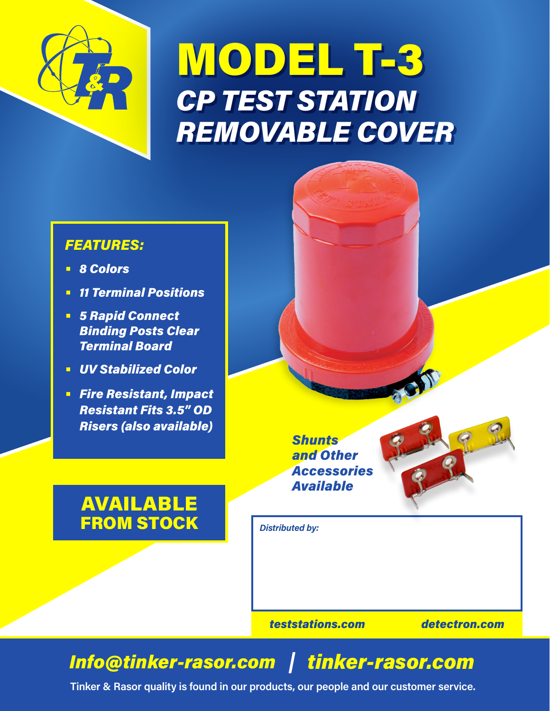

## MODEL T-3 *CP TEST STATION REMOVABLE COVER*



- **•** *8 Colors*
- **•** *11 Terminal Positions*
- **•** *5 Rapid Connect Binding Posts Clear Terminal Board*
- **•** *UV Stabilized Color*
- **•** *Fire Resistant, Impact Resistant Fits 3.5" OD Risers (also available)*

AVAILABLE

*Shunts and Other Accessories Available*



## FROM STOCK

*teststations.com detectron.com*

*Distributed by:*

## *Info@tinker-rasor.com tinker-rasor.com*

**Tinker & Rasor quality is found in our products, our people and our customer service.**